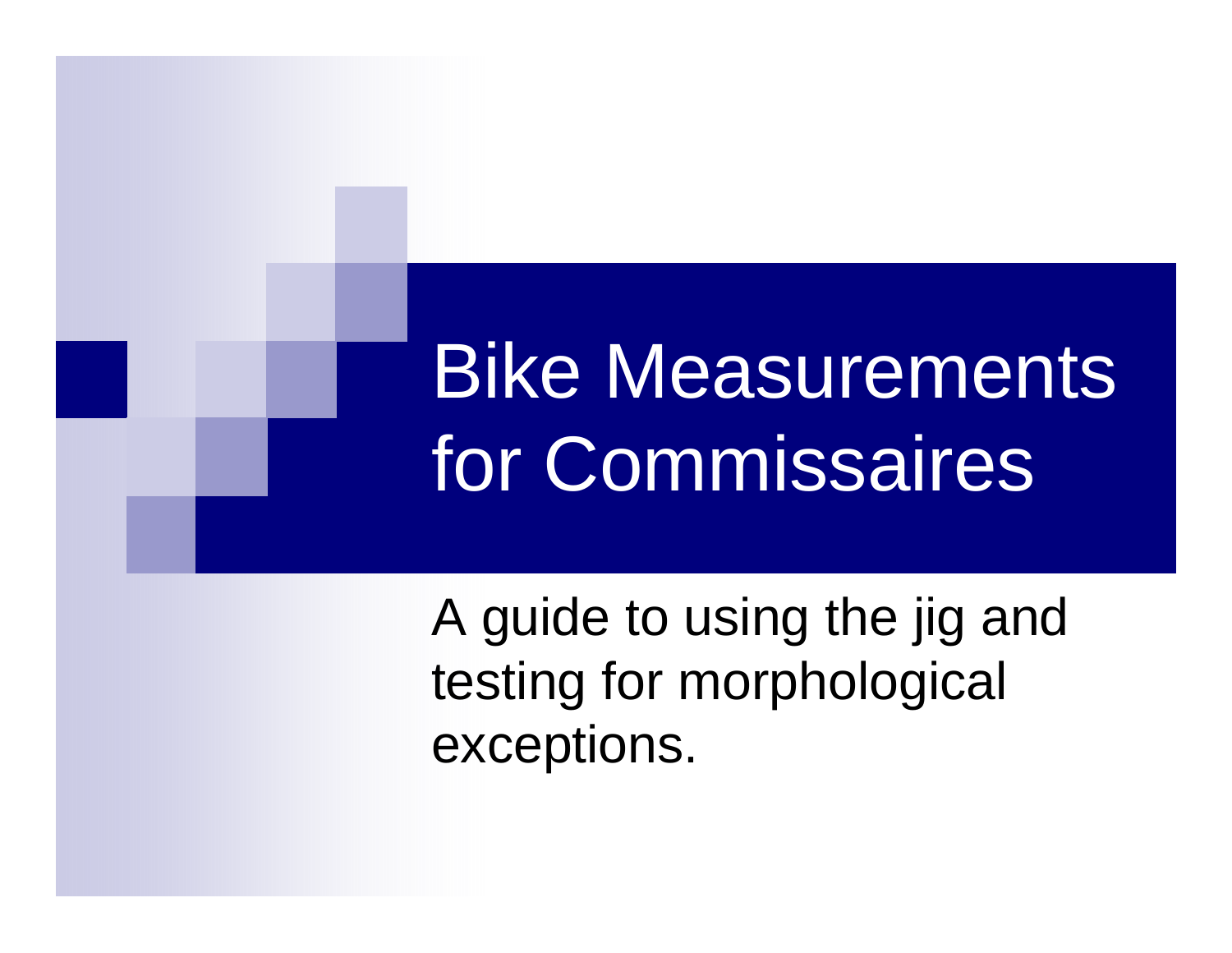# Bike Measurements for Commissaires

A guide to using the jig and testing for morphological exceptions.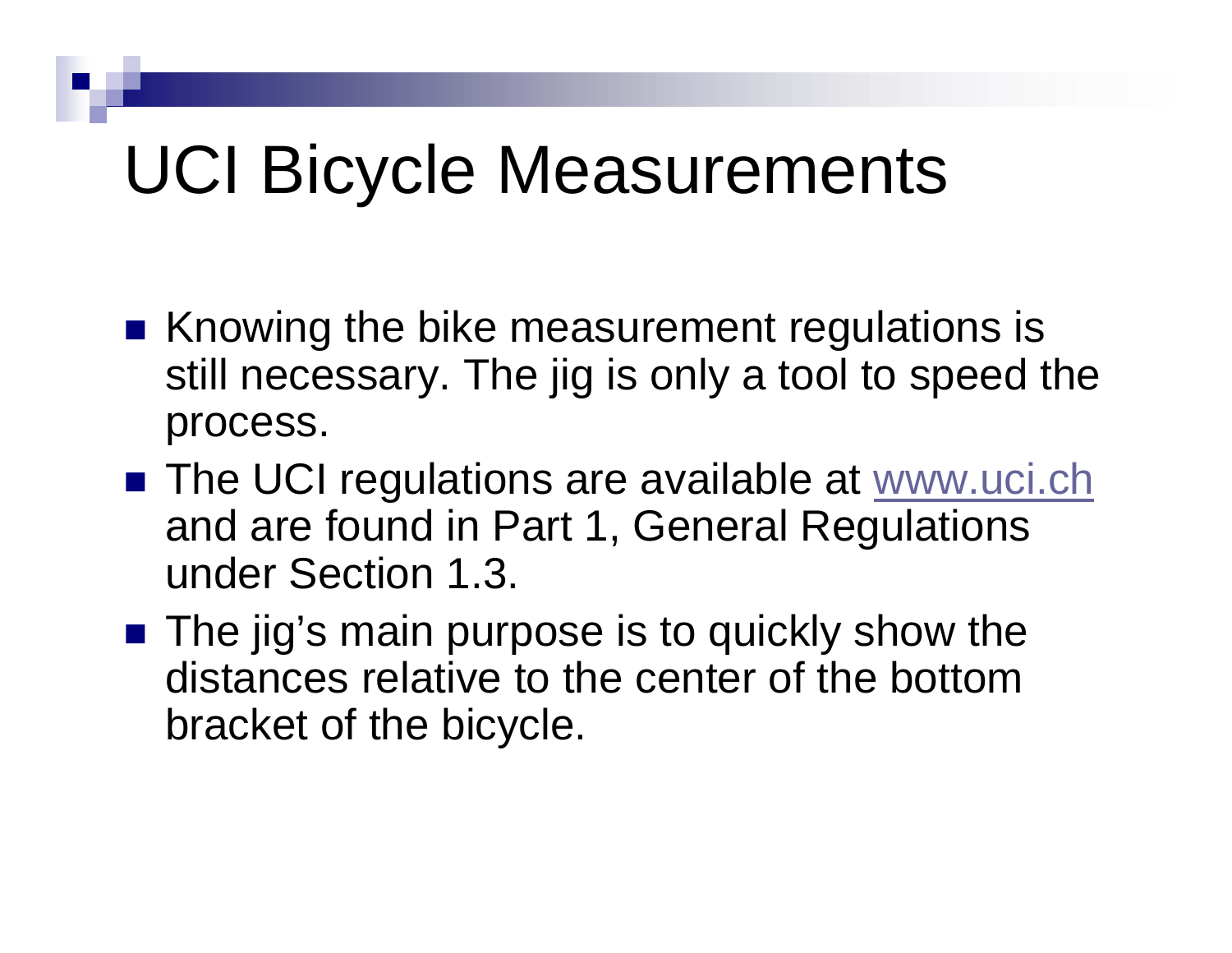## UCI Bicycle Measurements

- Knowing the bike measurement regulations is still necessary. The jig is only a tool to speed the process.
- The UCI regulations are available at [www.uci.ch](http://www.uci.ch/) and are found in Part 1, General Regulations under Section 1.3.
- The jig's main purpose is to quickly show the distances relative to the center of the bottom bracket of the bicycle.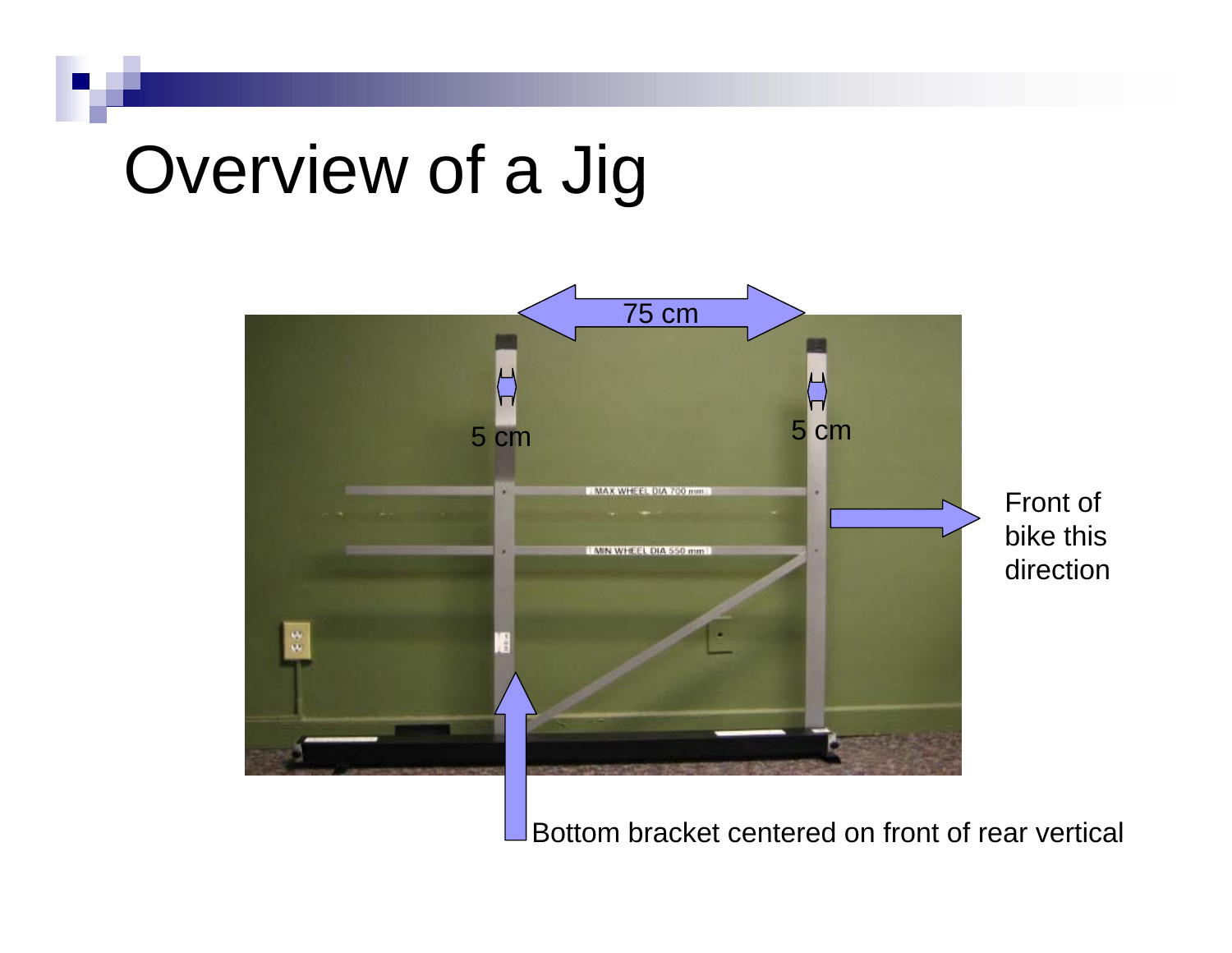## Overview of a Jig



Bottom bracket centered on front of rear vertical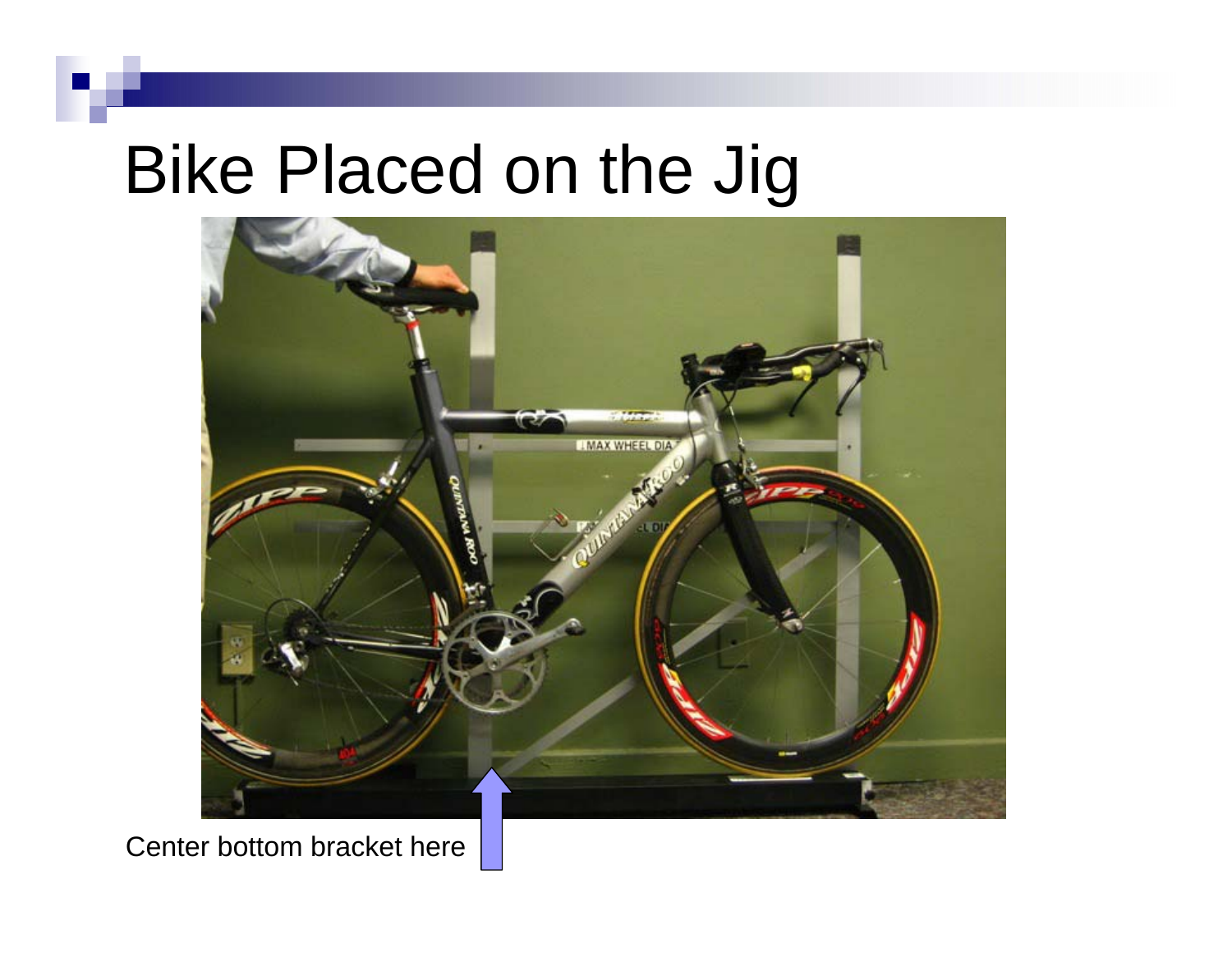#### Bike Placed on the Jig



Center bottom bracket here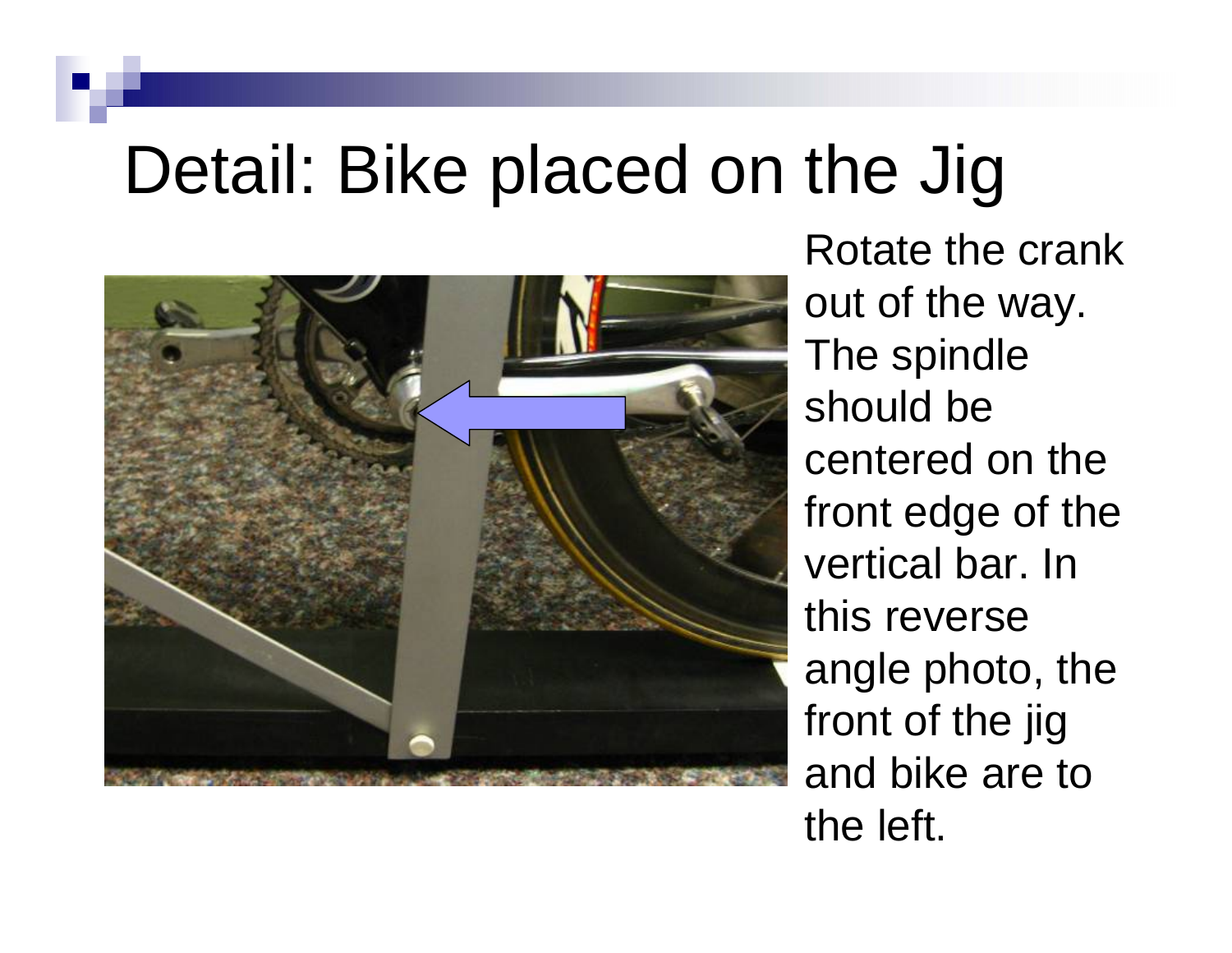### Detail: Bike placed on the Jig



Rotate the crank out of the way. The spindle should be centered on the front edge of the vertical bar. In this reverse angle photo, the front of the jig and bike are to the left.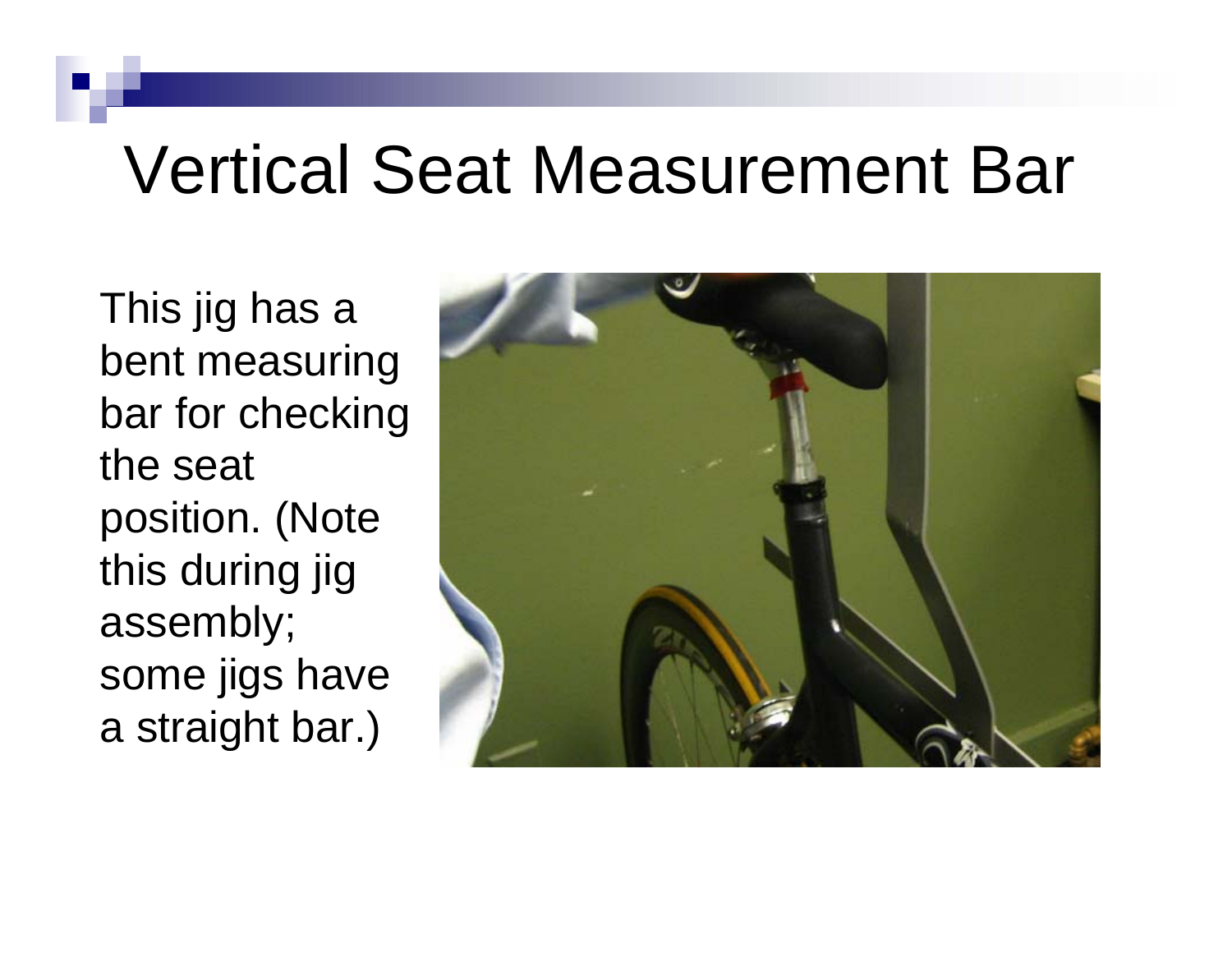### Vertical Seat Measurement Bar

This jig has a bent measuring bar for checking the seat position. (Note this during jig assembly; some jigs have a straight bar.)

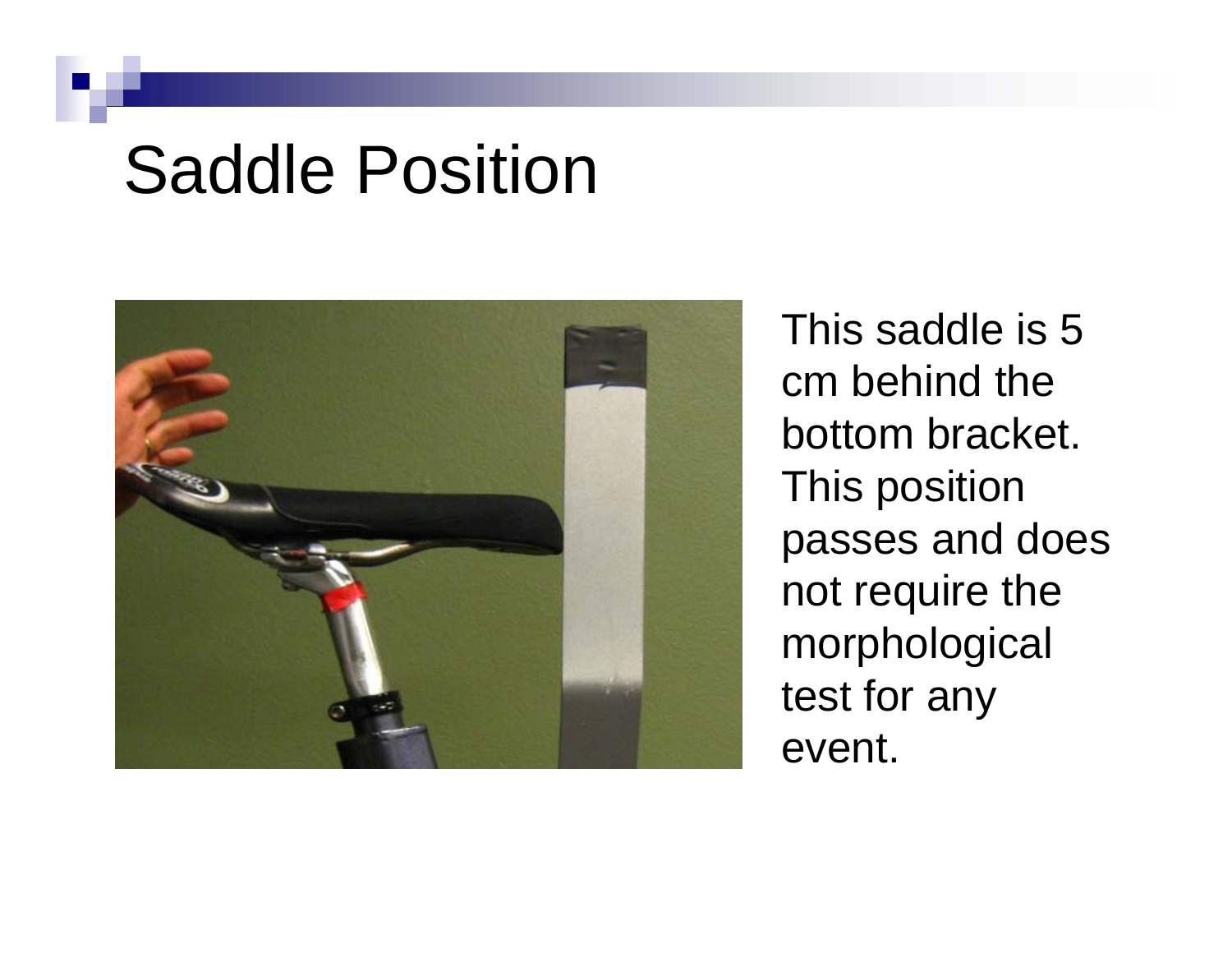#### Saddle Position



This saddle is 5 cm behind the bottom bracket. This position passes and does not require the morphological test for any event.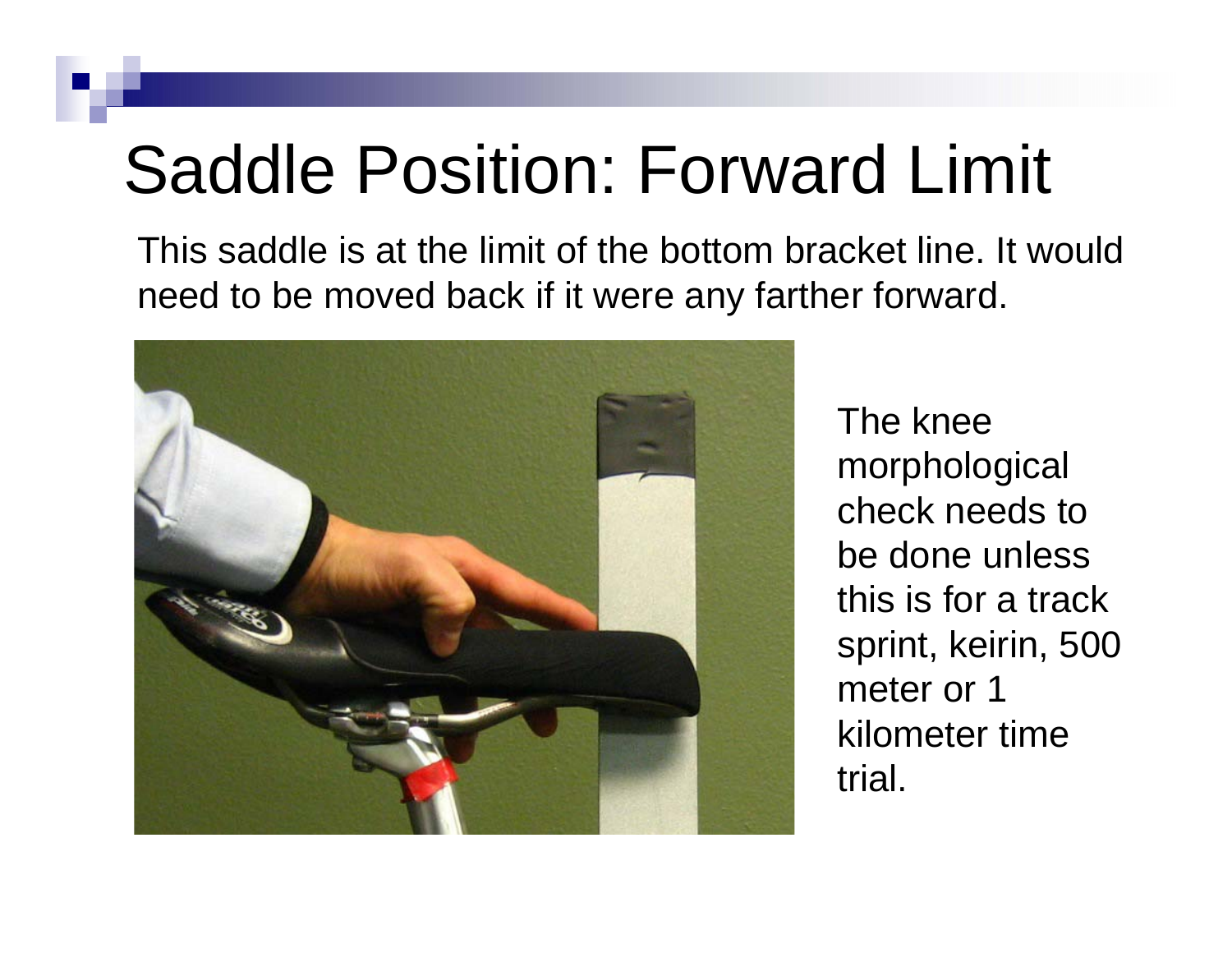## Saddle Position: Forward Limit

This saddle is at the limit of the bottom bracket line. It wouldneed to be moved back if it were any farther forward.



The knee morphological check needs to be done unless this is for a track sprint, keirin, 500 meter or 1 kilometer time trial.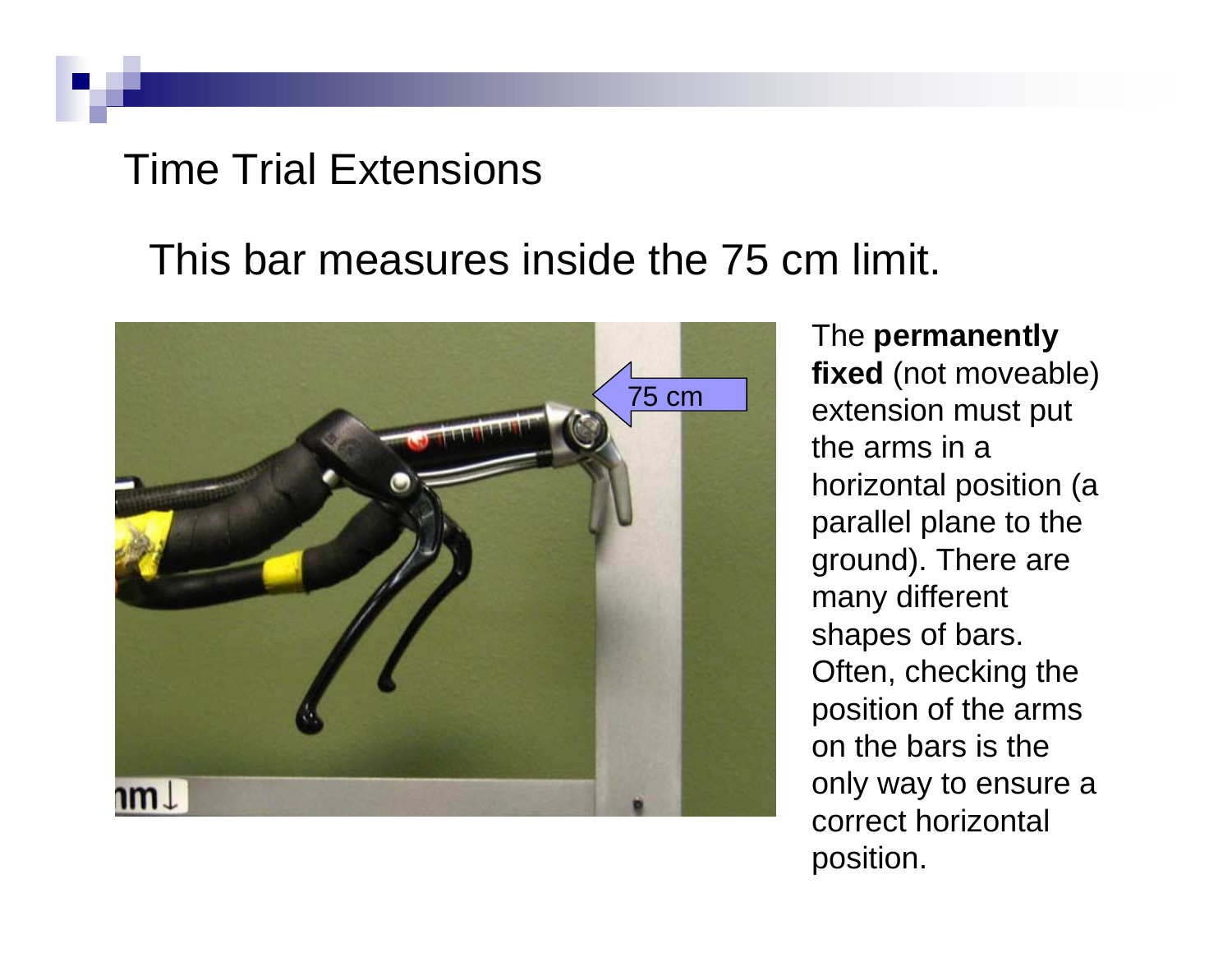#### Time Trial Extensions

#### This bar measures inside the 75 cm limit.



The **permanently fixed** (not moveable) extension must put the arms in a horizontal position (a parallel plane to the ground). There are many different shapes of bars. Often, checking the position of the arms on the bars is the only way to ensure a correct horizontal position.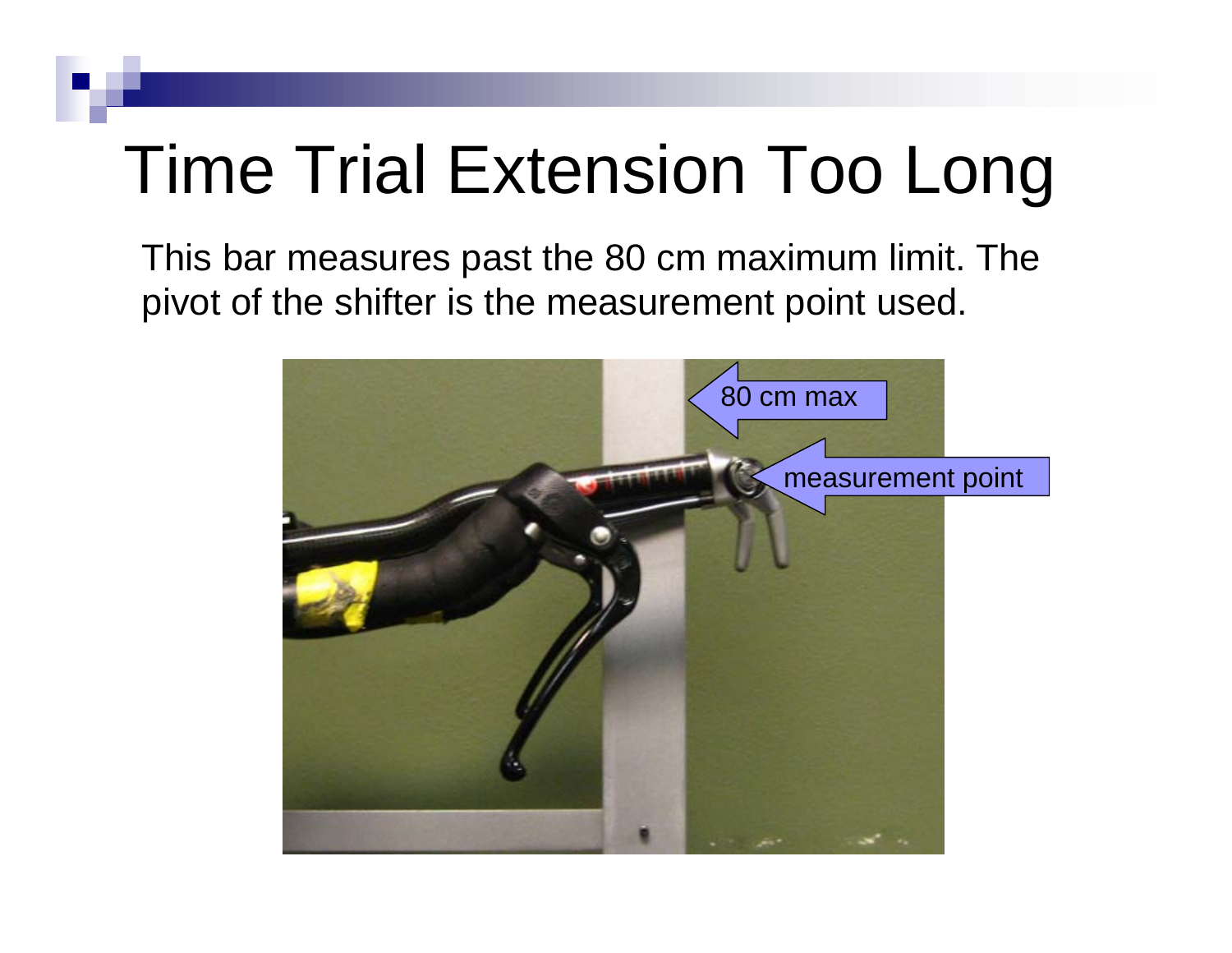## Time Trial Extension Too Long

This bar measures past the 80 cm maximum limit. The pivot of the shifter is the measurement point used.

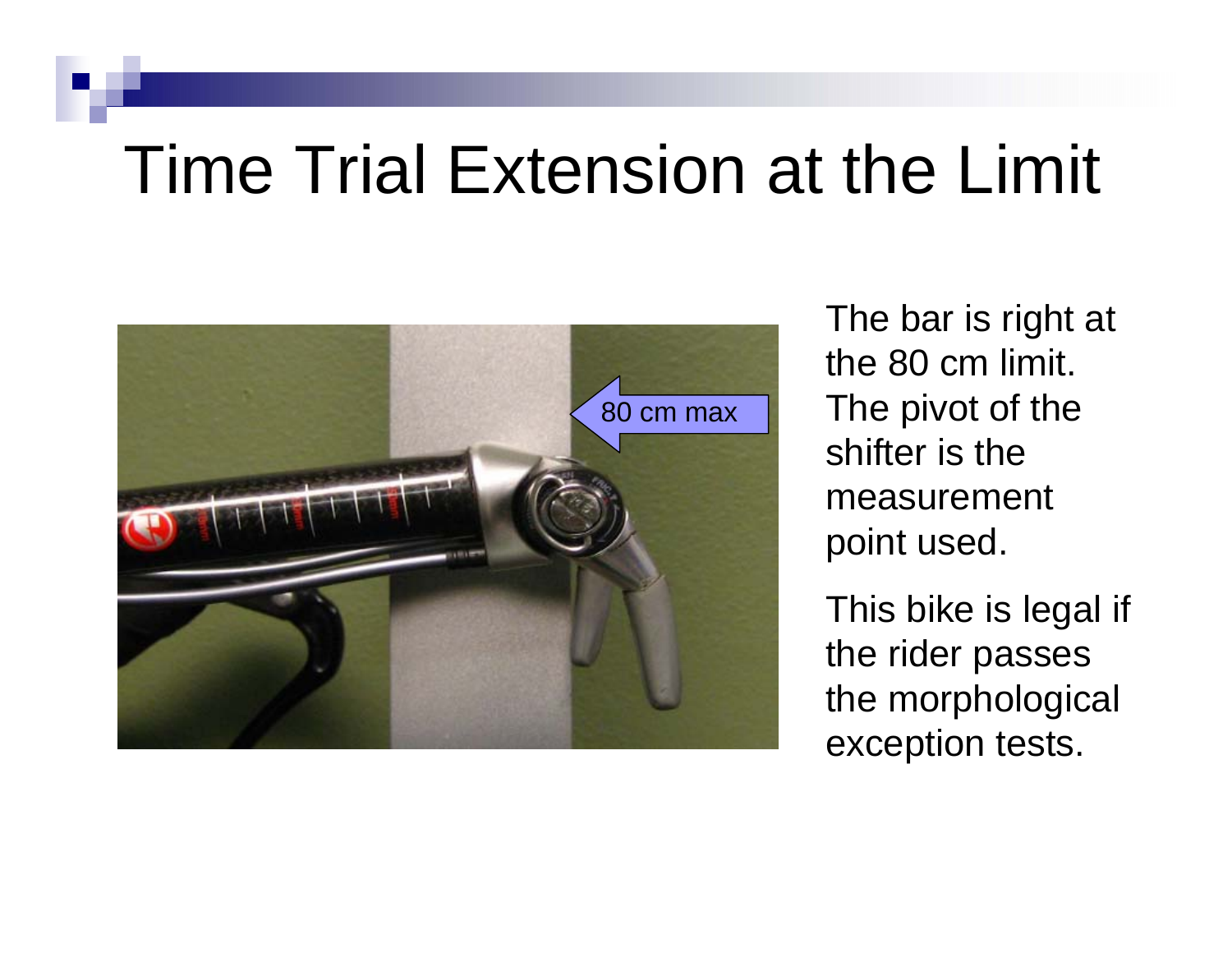### Time Trial Extension at the Limit



The bar is right at the 80 cm limit. The pivot of the shifter is the measurement point used.

This bike is legal if the rider passes the morphological exception tests.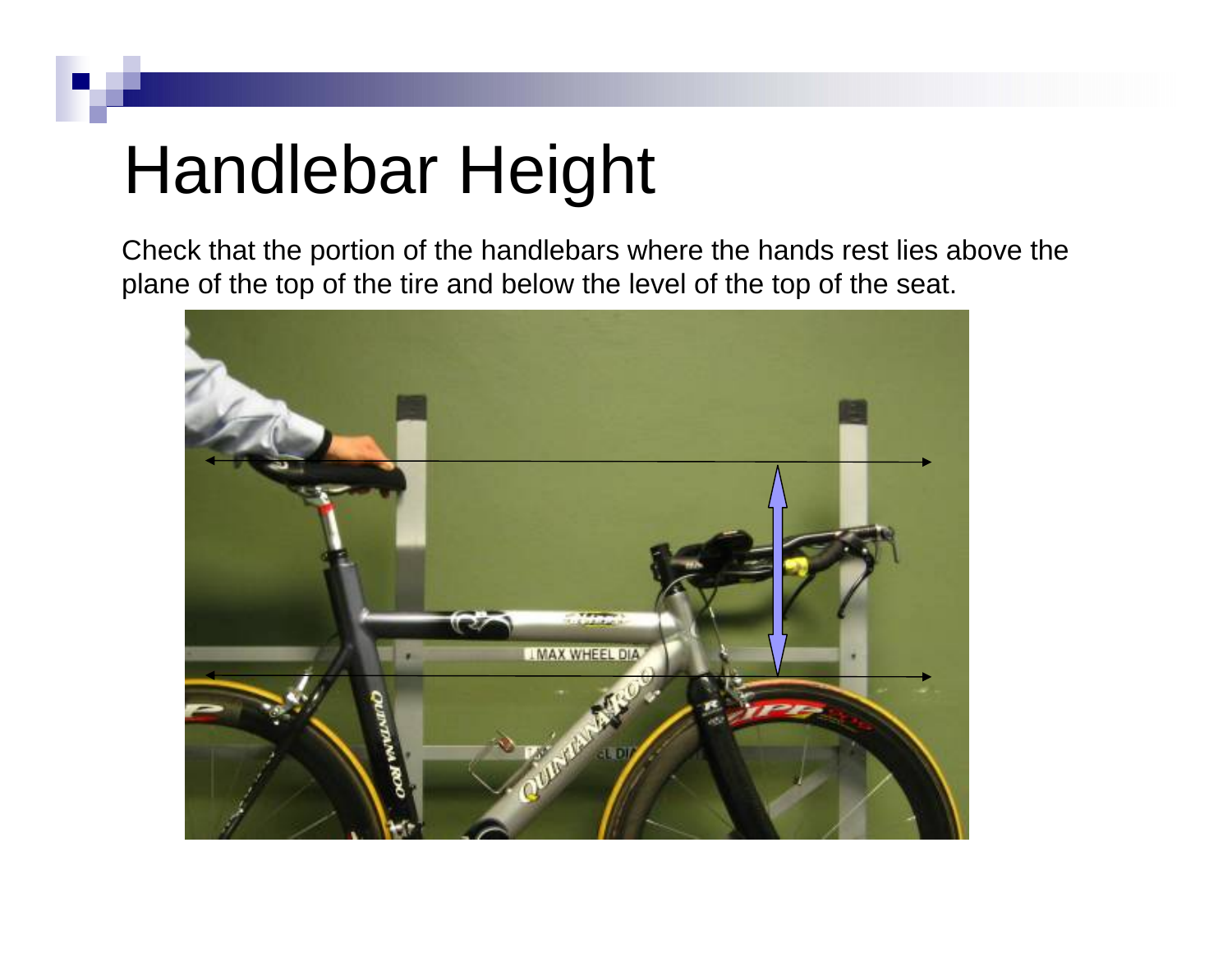## Handlebar Height

Check that the portion of the handlebars where the hands rest lies above the plane of the top of the tire and below the level of the top of the seat.

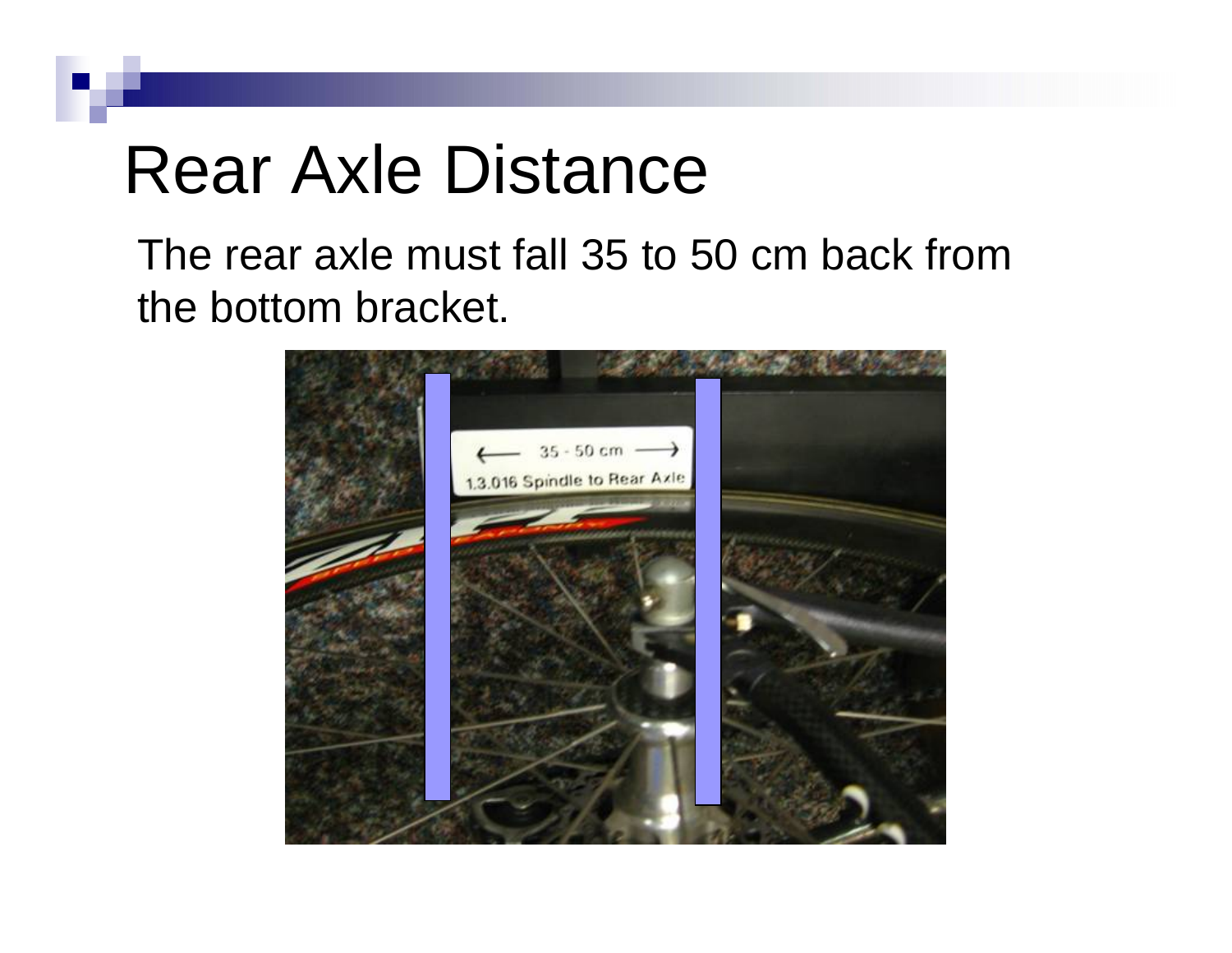### Rear Axle Distance

The rear axle must fall 35 to 50 cm back from the bottom bracket.

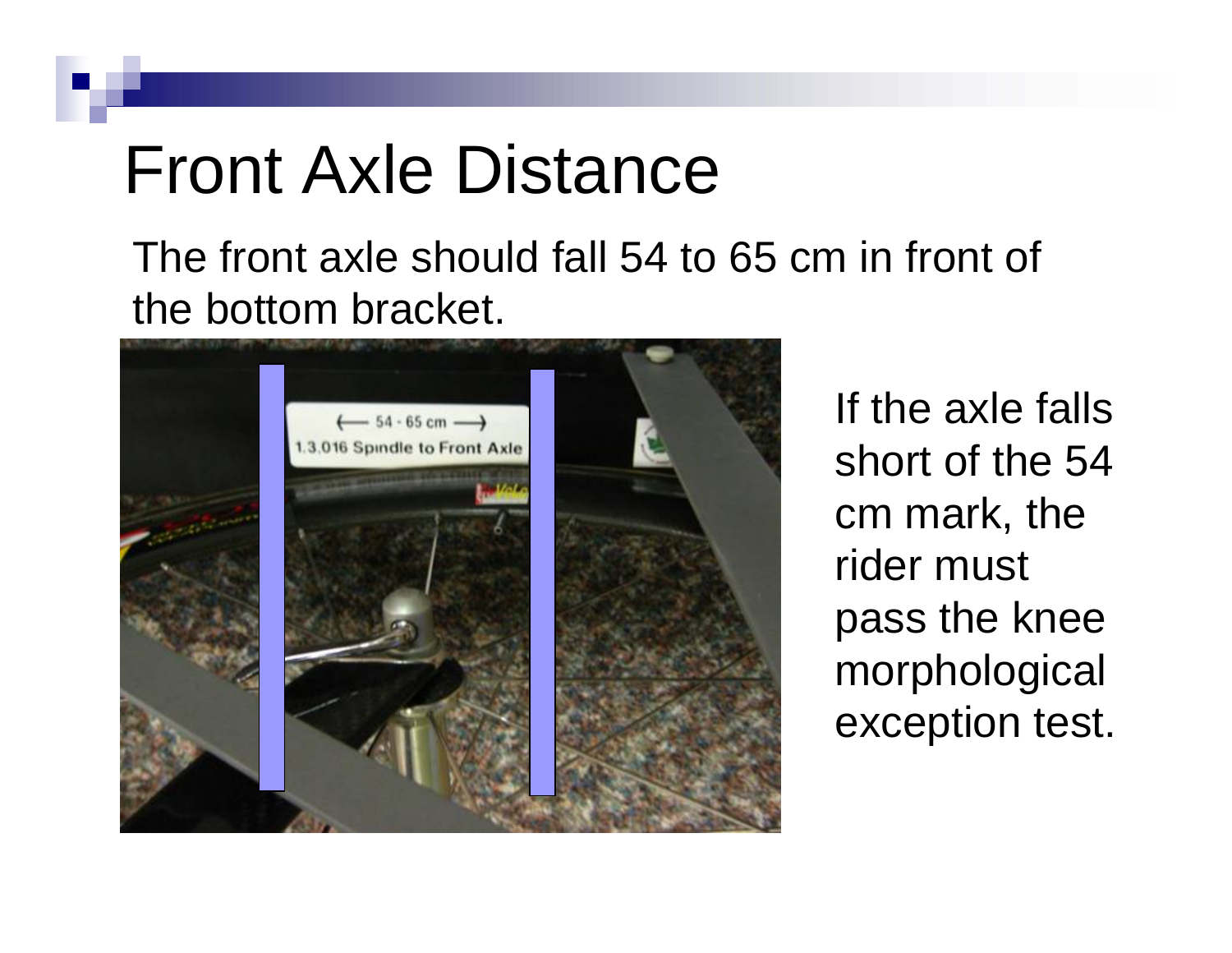#### Front Axle Distance

The front axle should fall 54 to 65 cm in front of the bottom bracket.



If the axle falls short of the 54 cm mark, the rider must pass the knee morphological exception test.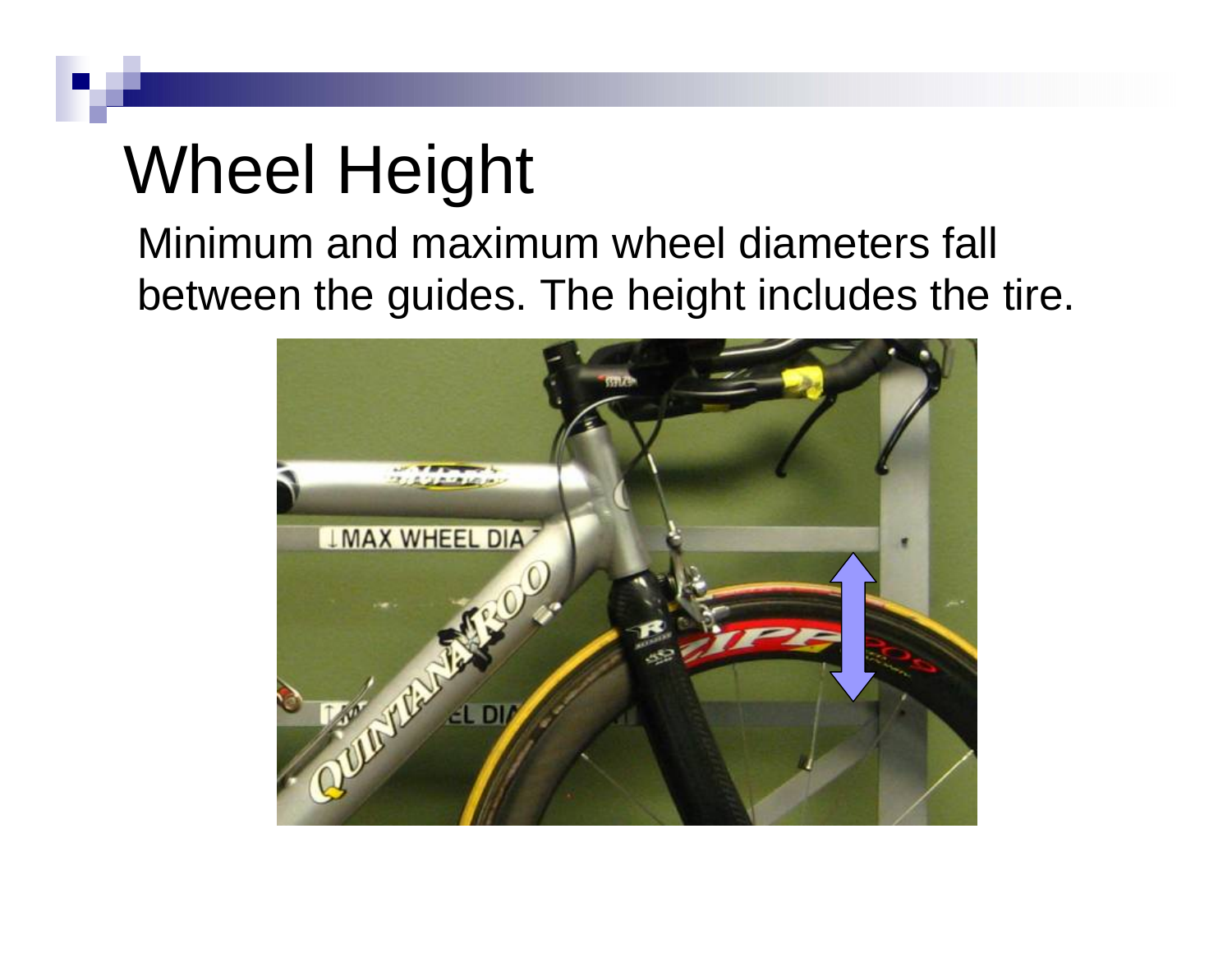## Wheel Height

Minimum and maximum wheel diameters fall between the guides. The height includes the tire.

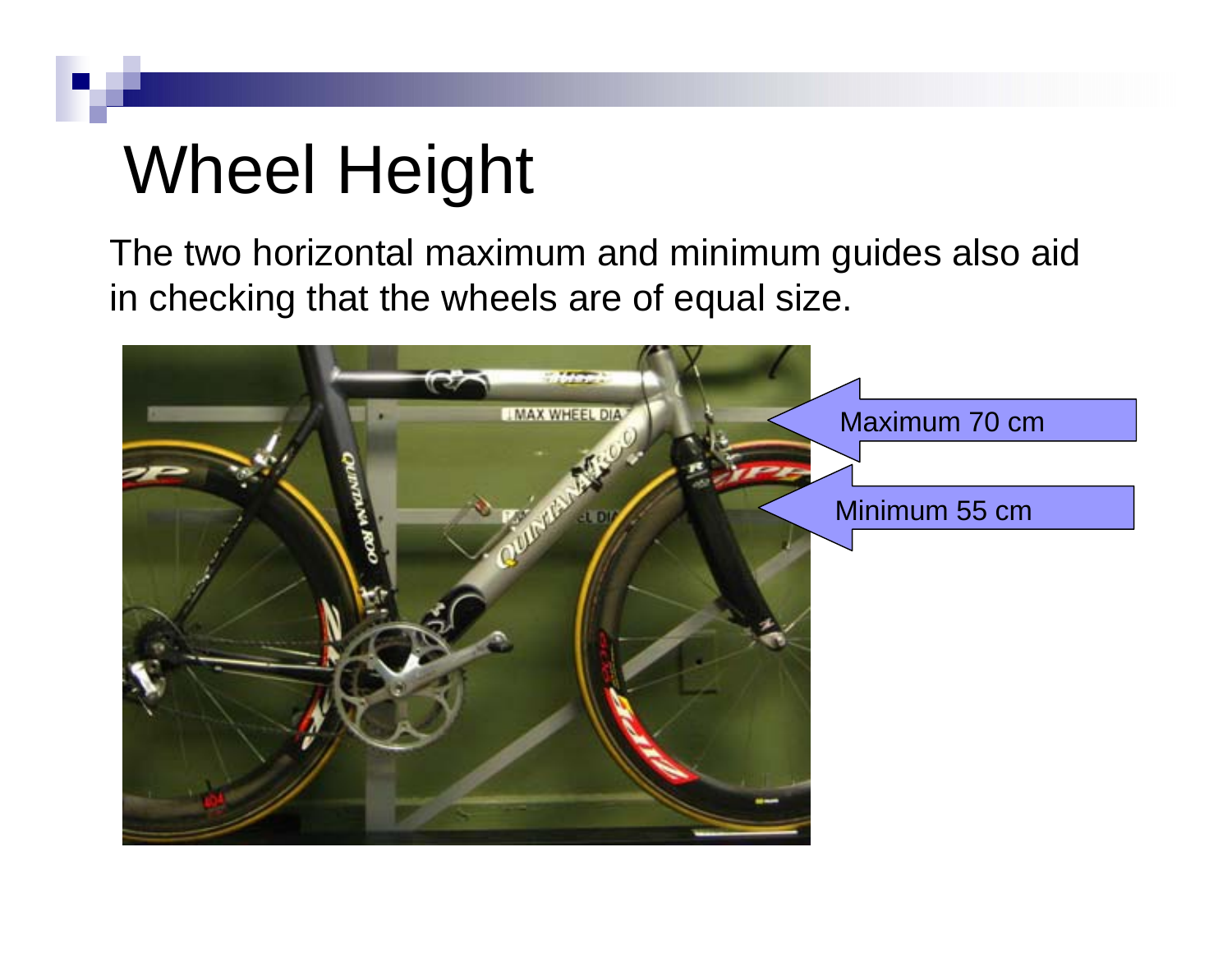## Wheel Height

The two horizontal maximum and minimum guides also aid in checking that the wheels are of equal size.

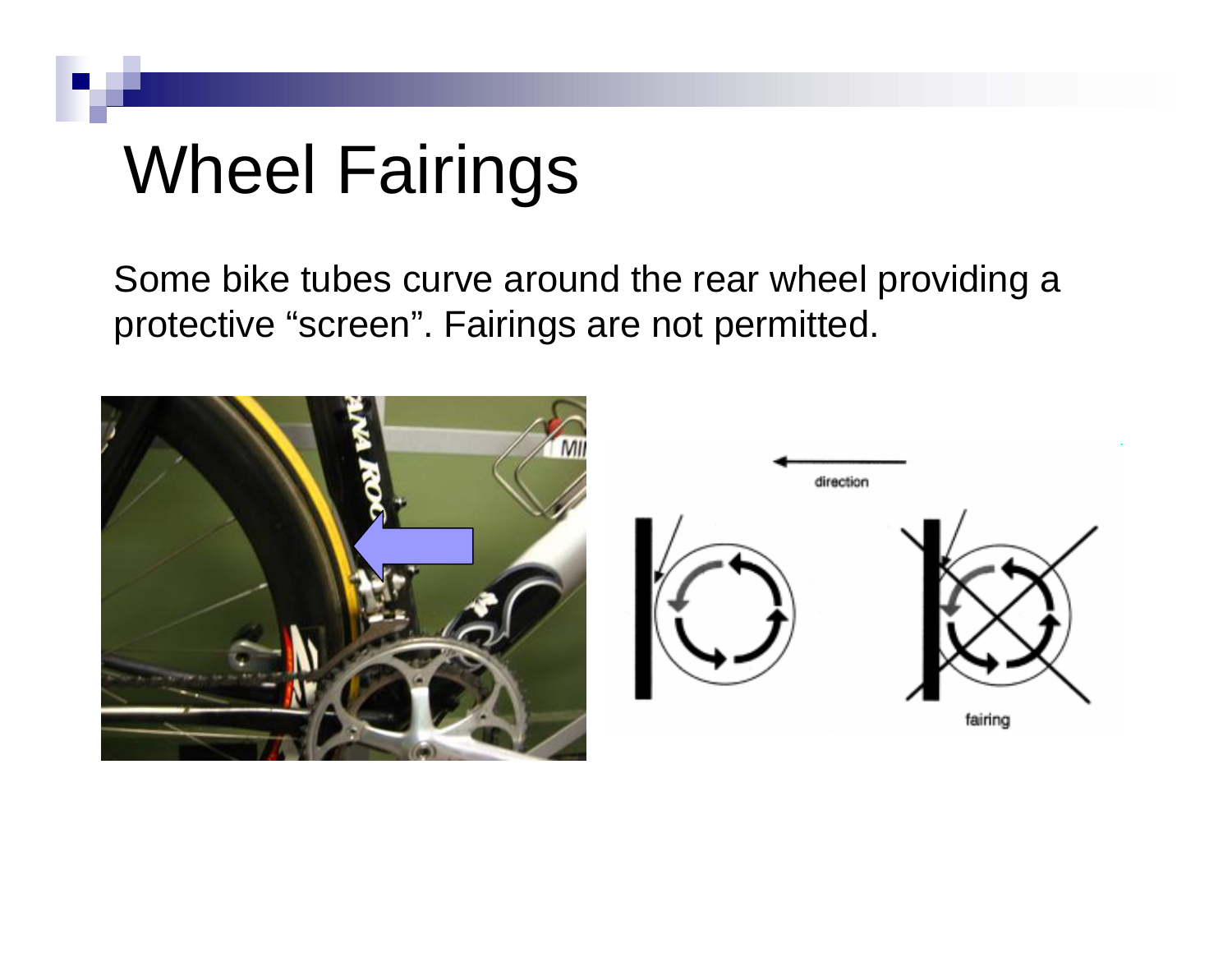## Wheel Fairings

Some bike tubes curve around the rear wheel providing a protective "screen". Fairings are not permitted.

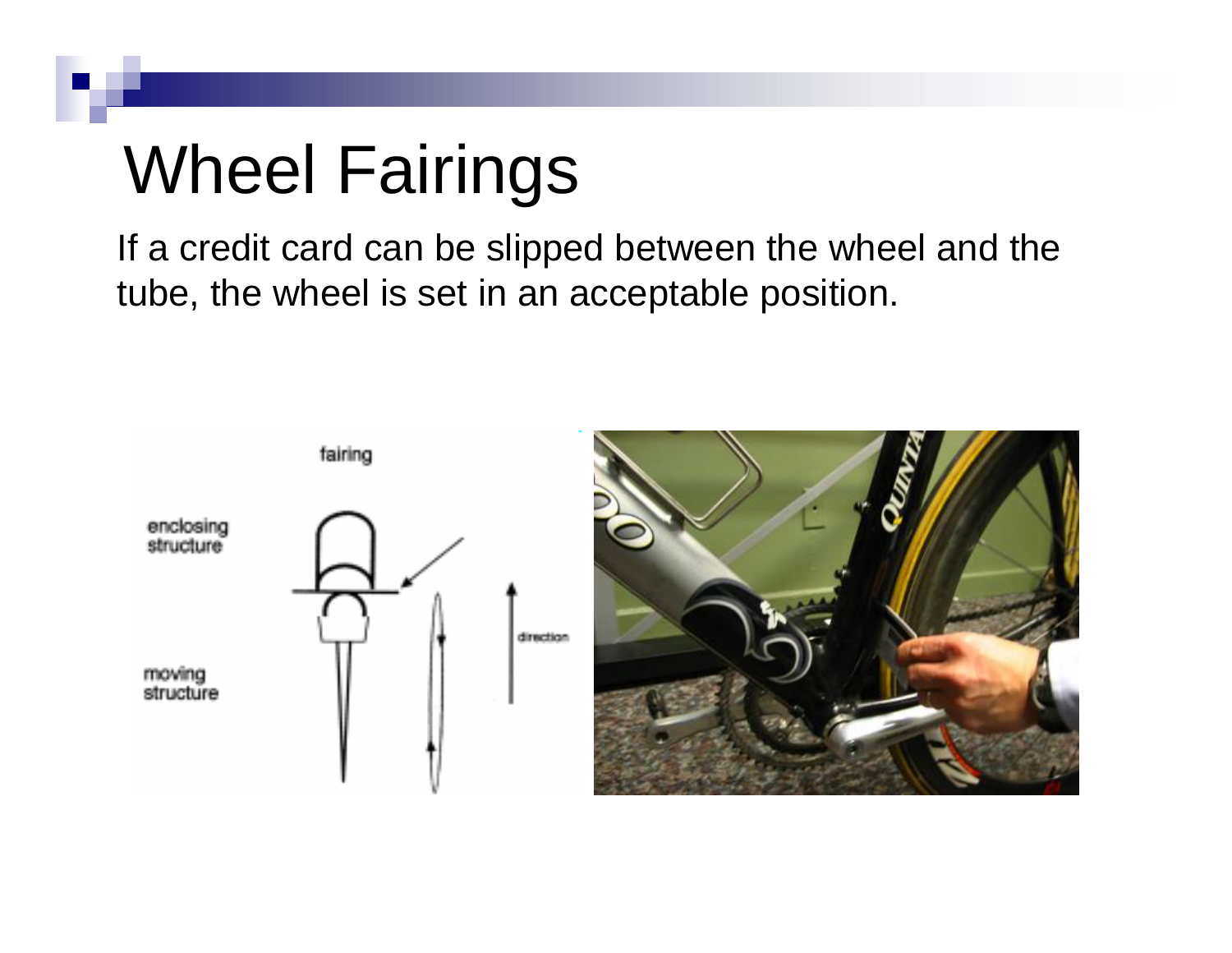## Wheel Fairings

If a credit card can be slipped between the wheel and the tube, the wheel is set in an acceptable position.

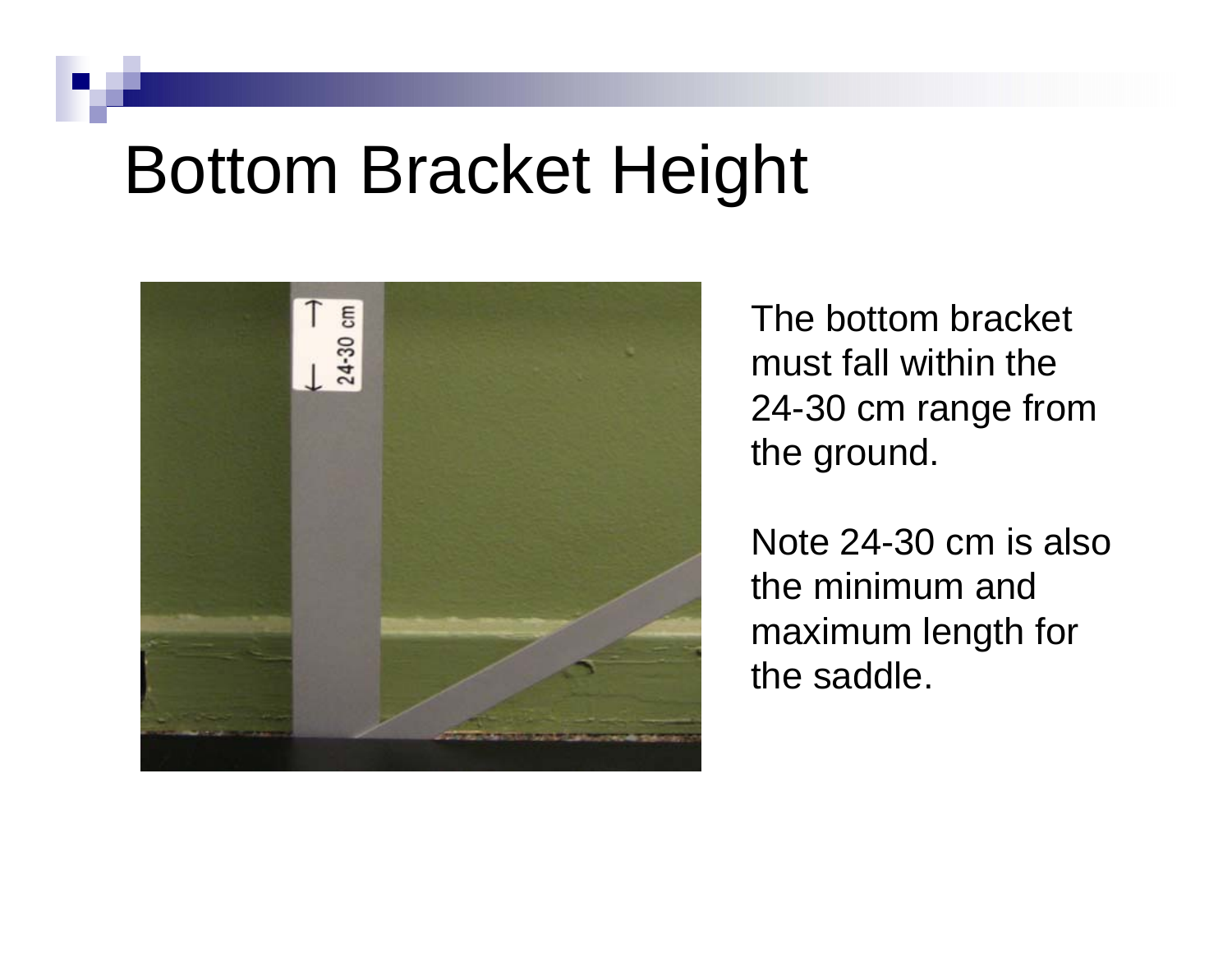#### Bottom Bracket Height



The bottom bracket must fall within the 24-30 cm range from the ground.

Note 24-30 cm is also the minimum and maximum length for the saddle.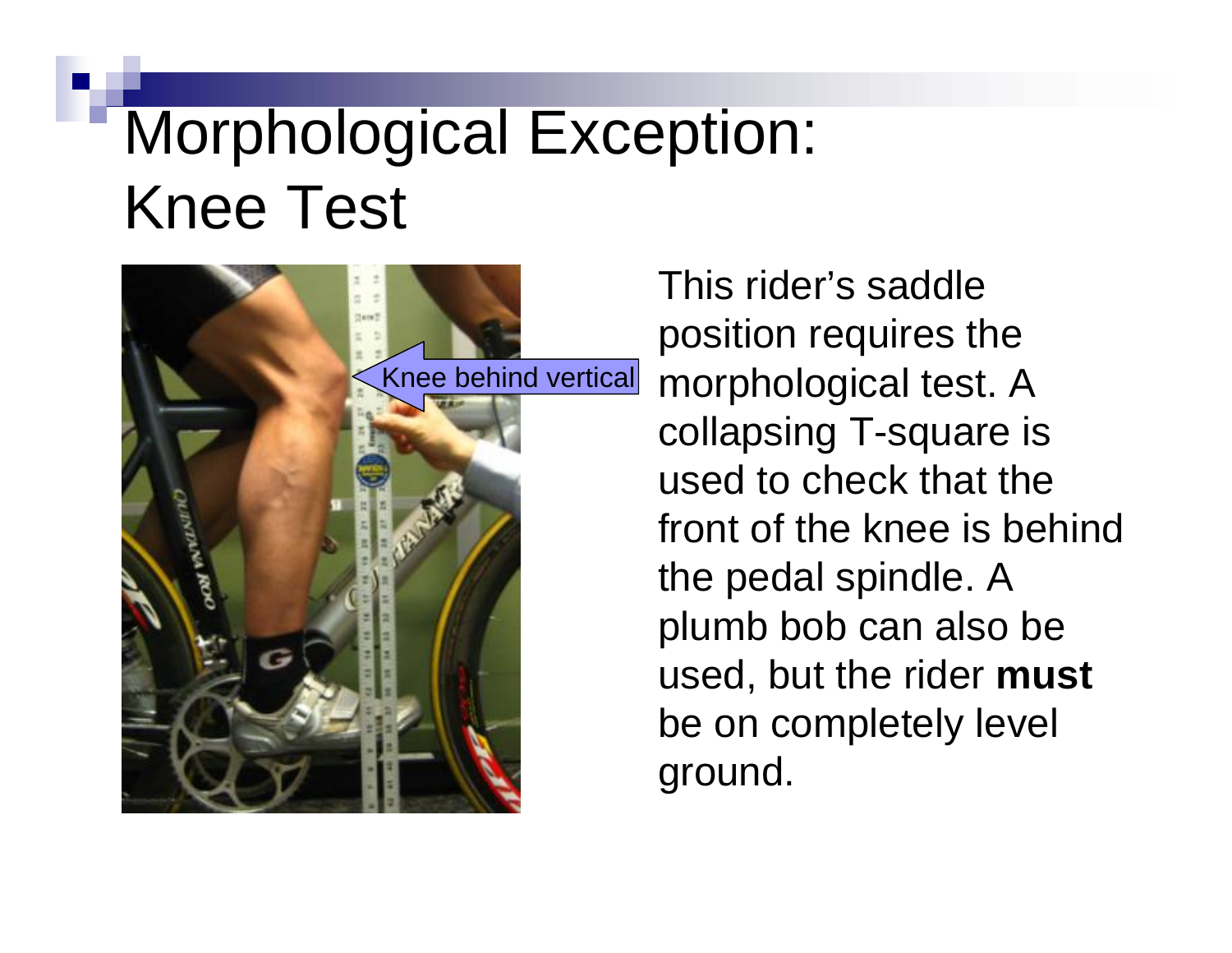#### Morphological Exception: Knee Test



This rider's saddle position requires the morphological test. A collapsing T-square is used to check that the front of the knee is behind the pedal spindle. A plumb bob can also be used, but the rider **must** be on completely level ground.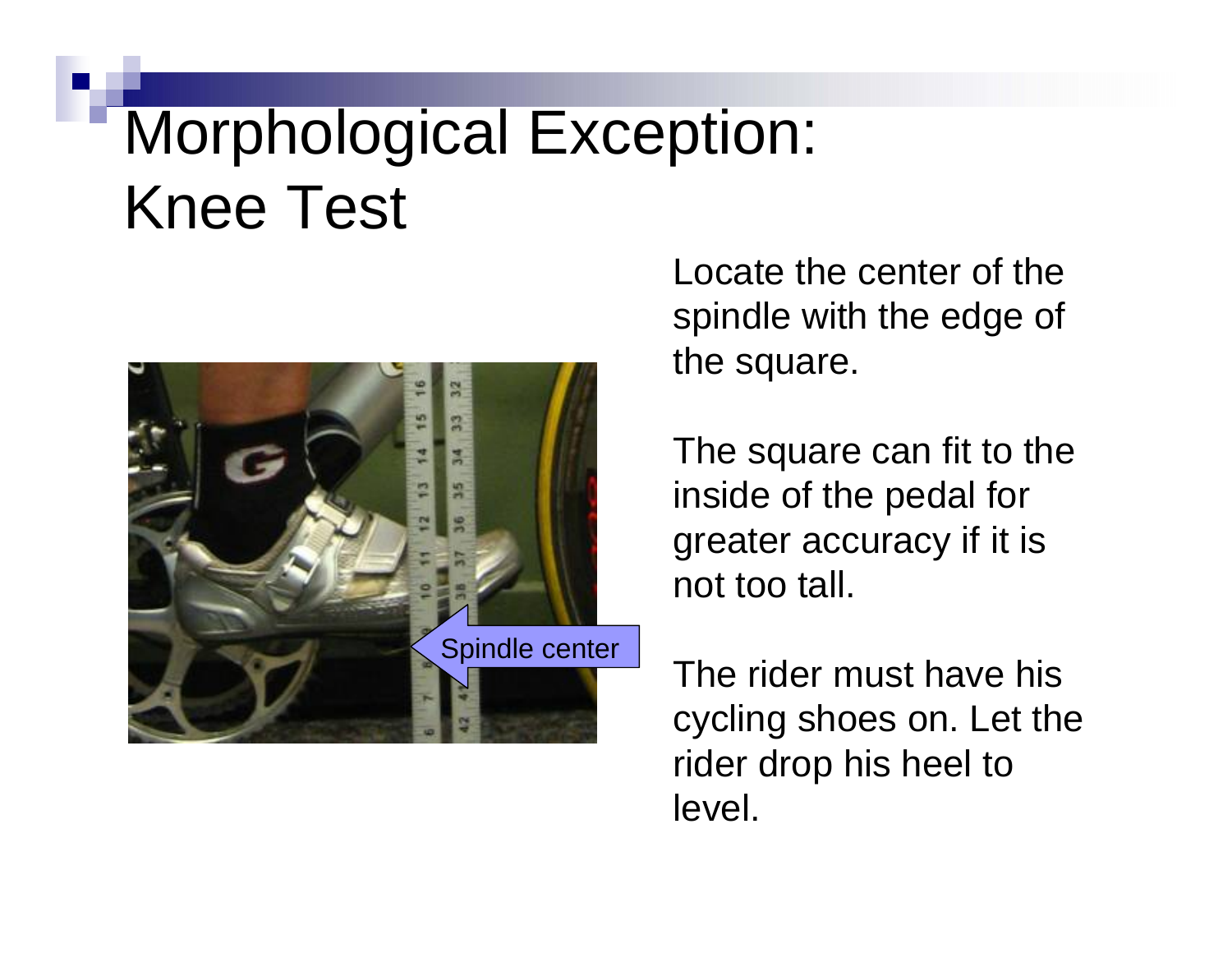#### Morphological Exception: Knee Test



Locate the center of the spindle with the edge of the square.

The square can fit to the inside of the pedal for greater accuracy if it is not too tall.

The rider must have his cycling shoes on. Let the rider drop his heel to level.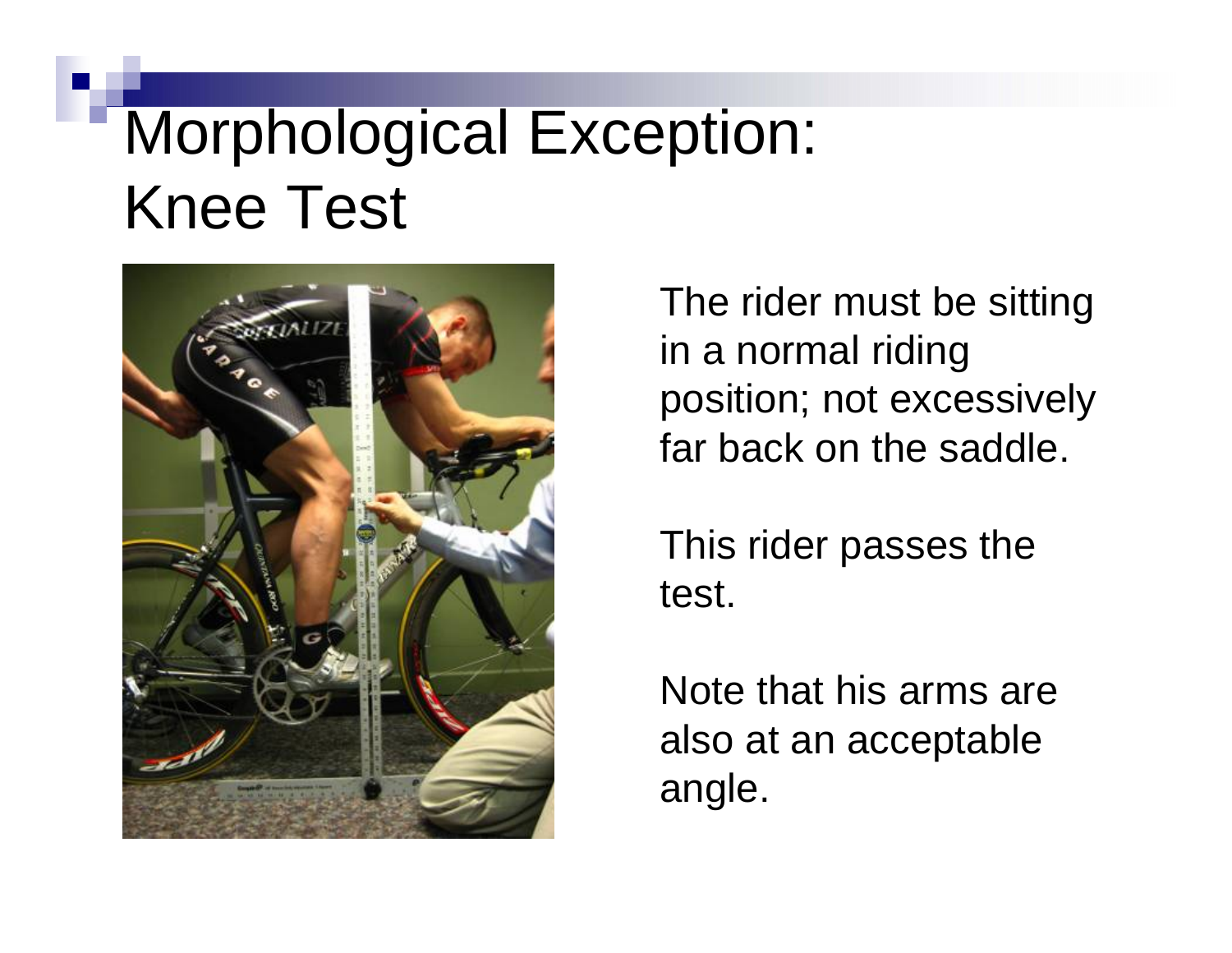#### Morphological Exception: Knee Test



The rider must be sitting in a normal riding position; not excessively far back on the saddle.

This rider passes the test.

Note that his arms are also at an acceptable angle.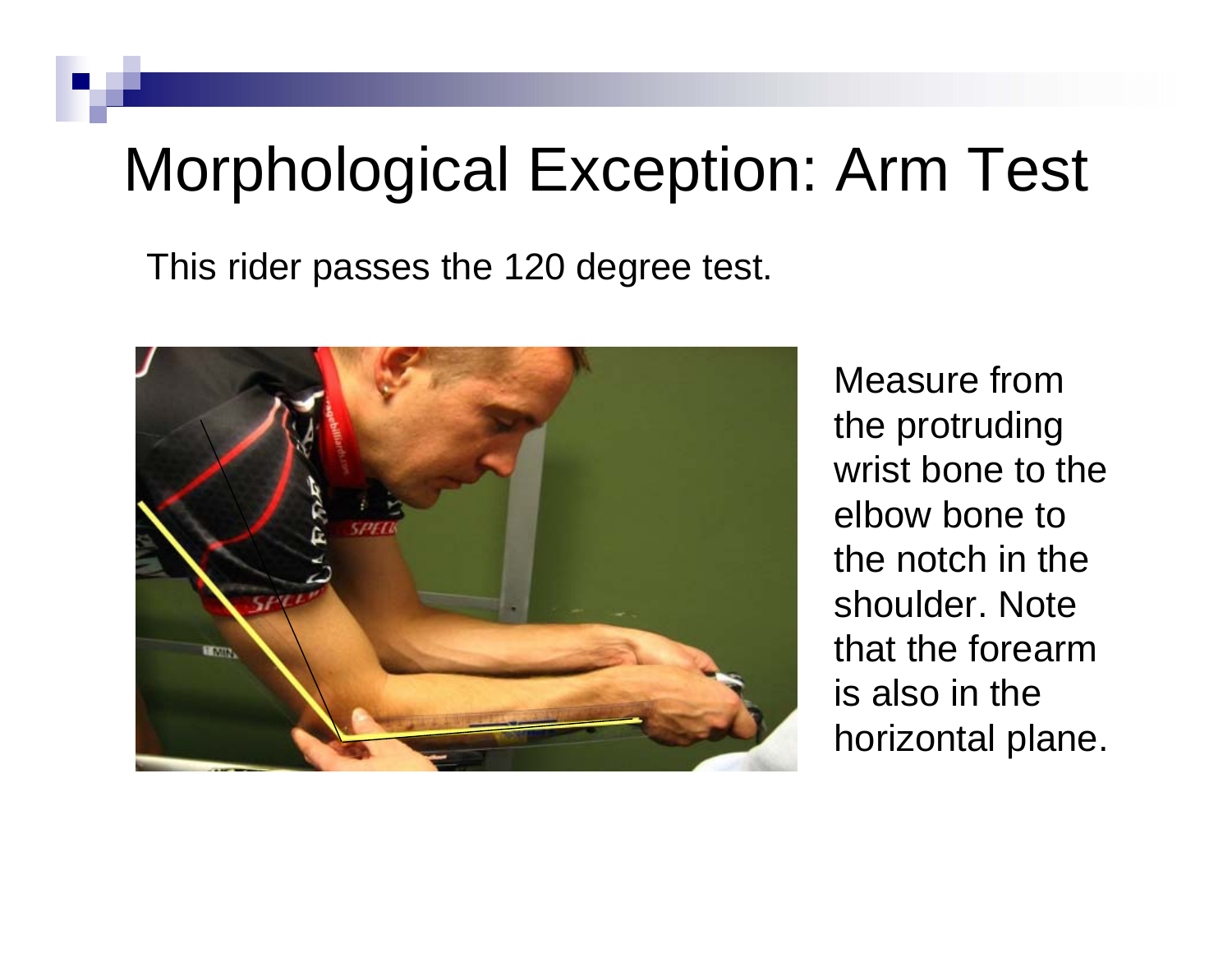#### Morphological Exception: Arm Test

This rider passes the 120 degree test.



Measure from the protruding wrist bone to the elbow bone to the notch in the shoulder. Note that the forearm is also in the horizontal plane.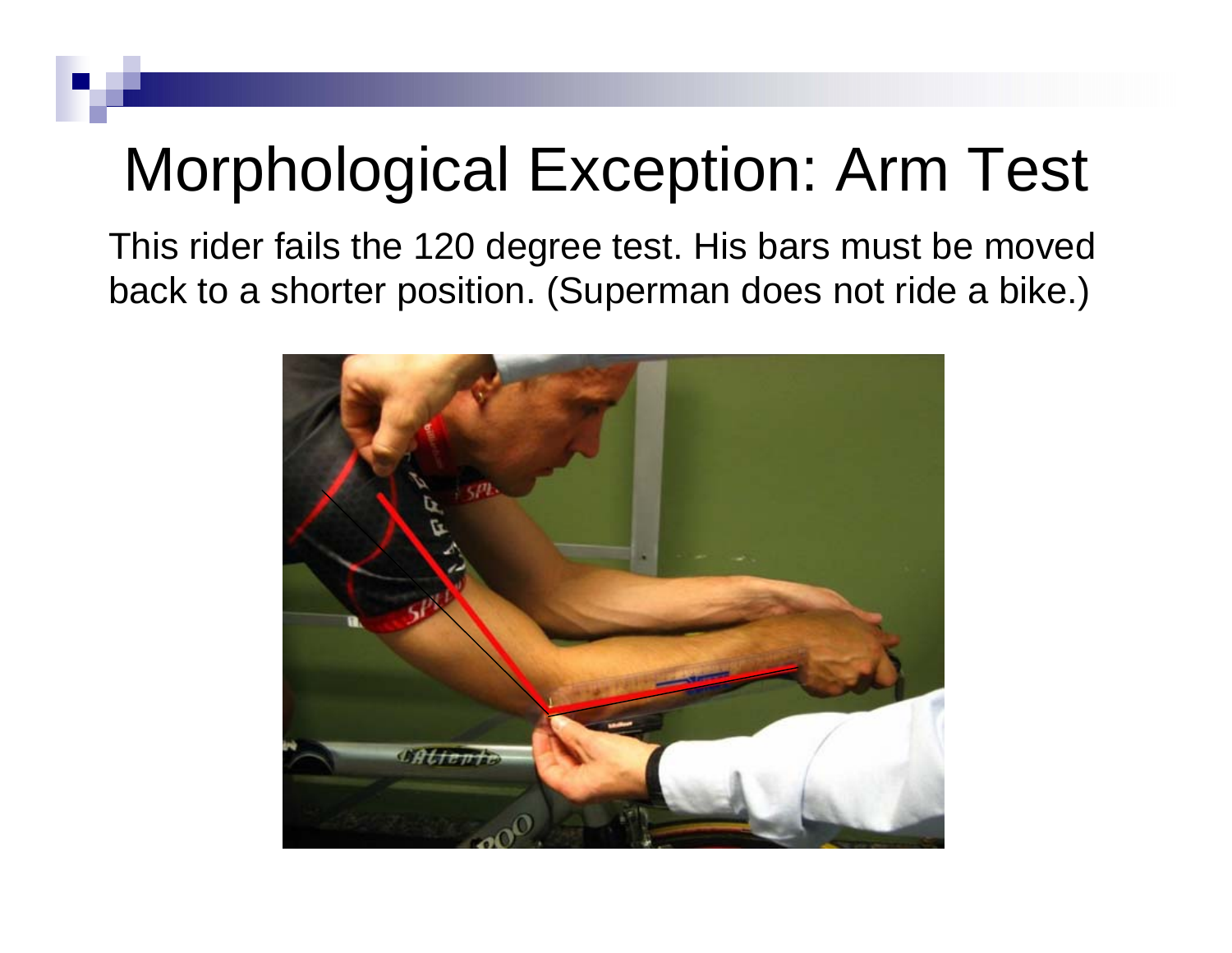#### Morphological Exception: Arm Test

This rider fails the 120 degree test. His bars must be moved back to a shorter position. (Superman does not ride a bike.)